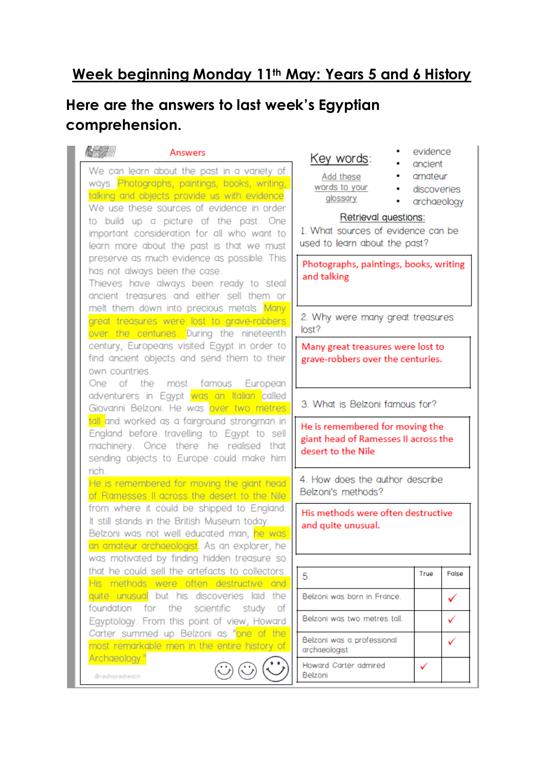## **Week beginning Monday 11th May: Years 5 and 6 History**

## **Here are the answers to last week's Egyptian comprehension.**

| Answers<br>We can learn about the past in a variety of<br>ways. Photographs, paintings, books, writing,<br>talking and objects provide us with evidence.<br>We use these sources of evidence in order<br>to build up a picture of the past. One<br>important consideration for all who want to<br>learn more about the past is that we must<br>preserve as much evidence as possible. This<br>has not always been the case.<br>Thieves have always been ready to steal<br>ancient treasures and either sell them or<br>melt them down into precious metals. Many<br>great treasures were lost to grave-robbers<br>over the centuries. During the nineteenth<br>century, Europeans visited Egypt in order to<br>find ancient objects and send them to their<br>own countries.<br>One of the most famous European<br>adventurers in Egypt was an Italian called<br>Giovanni Belzoni. He was over two metres<br>tall and worked as a fairground strongman in<br>England before travelling to Egypt to sell<br>machinery. Once there he realised that | evidence<br>Key words:<br>ancient<br>Add these<br>amateur<br>words to your<br>discoveries<br>۰<br>glossary<br>archaeology<br>٠<br>Retrieval questions:<br>1. What sources of evidence can be<br>used to learn about the past?<br>Photographs, paintings, books, writing<br>and talking<br>2. Why were many great treasures<br>lost?<br>Many great treasures were lost to<br>grave-robbers over the centuries.<br>3. What is Belzoni famous for?<br>He is remembered for moving the |   |
|---------------------------------------------------------------------------------------------------------------------------------------------------------------------------------------------------------------------------------------------------------------------------------------------------------------------------------------------------------------------------------------------------------------------------------------------------------------------------------------------------------------------------------------------------------------------------------------------------------------------------------------------------------------------------------------------------------------------------------------------------------------------------------------------------------------------------------------------------------------------------------------------------------------------------------------------------------------------------------------------------------------------------------------------------|------------------------------------------------------------------------------------------------------------------------------------------------------------------------------------------------------------------------------------------------------------------------------------------------------------------------------------------------------------------------------------------------------------------------------------------------------------------------------------|---|
| sending objects to Europe could make him<br>rich.<br>He is remembered for moving the giant head<br>of Ramesses II across the desert to the Nile                                                                                                                                                                                                                                                                                                                                                                                                                                                                                                                                                                                                                                                                                                                                                                                                                                                                                                   | 4. How does the author describe<br>Belzoni's methods?                                                                                                                                                                                                                                                                                                                                                                                                                              |   |
| from where it could be shipped to England.<br>It still stands in the British Museum today.<br>Belzoni was not well educated man, he was<br>a <mark>n amateur archaeologist</mark> . As an explorer, he<br>was motivated by finding hidden treasure so<br>that he could sell the artefacts to collectors.                                                                                                                                                                                                                                                                                                                                                                                                                                                                                                                                                                                                                                                                                                                                          | His methods were often destructive<br>and quite unusual.<br>False<br>True                                                                                                                                                                                                                                                                                                                                                                                                          |   |
| His methods were often destructive and                                                                                                                                                                                                                                                                                                                                                                                                                                                                                                                                                                                                                                                                                                                                                                                                                                                                                                                                                                                                            | 5.                                                                                                                                                                                                                                                                                                                                                                                                                                                                                 |   |
| quite unusual but his discoveries laid the<br>foundation for the scientific study<br>of                                                                                                                                                                                                                                                                                                                                                                                                                                                                                                                                                                                                                                                                                                                                                                                                                                                                                                                                                           | Belzoni was born in France.                                                                                                                                                                                                                                                                                                                                                                                                                                                        | ✓ |
| Egyptology. From this point of view, Howard<br>Carter summed up Belzoni as "one of the                                                                                                                                                                                                                                                                                                                                                                                                                                                                                                                                                                                                                                                                                                                                                                                                                                                                                                                                                            | Belzoni was two metres tall.                                                                                                                                                                                                                                                                                                                                                                                                                                                       | ✓ |
| most remarkable men in the entire history of<br>Archaeology."                                                                                                                                                                                                                                                                                                                                                                                                                                                                                                                                                                                                                                                                                                                                                                                                                                                                                                                                                                                     | Belzoni was a professional<br>archaeologist                                                                                                                                                                                                                                                                                                                                                                                                                                        | ✓ |
| @redhairedteach                                                                                                                                                                                                                                                                                                                                                                                                                                                                                                                                                                                                                                                                                                                                                                                                                                                                                                                                                                                                                                   | Howard Carter admired<br>✓<br>Belzoni                                                                                                                                                                                                                                                                                                                                                                                                                                              |   |